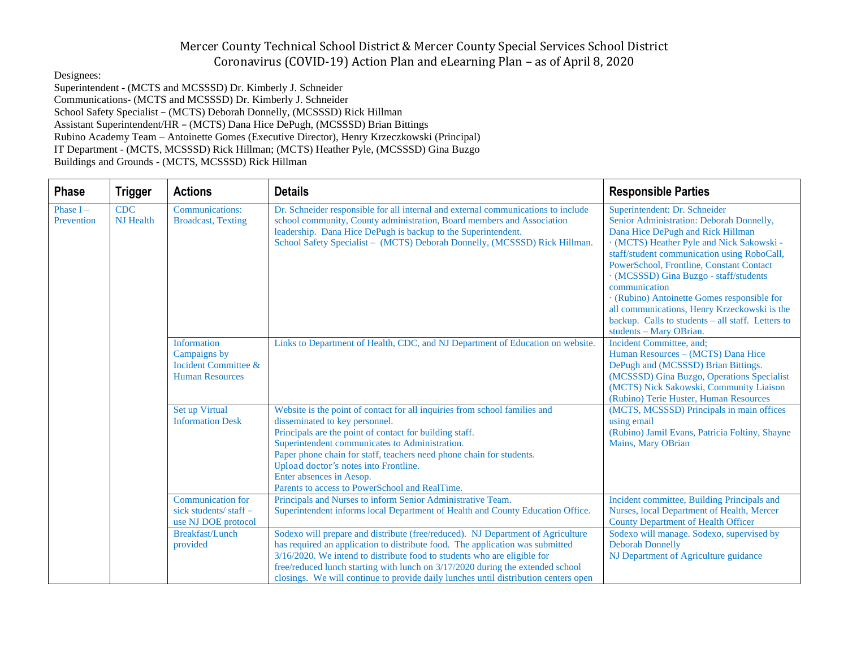Designees:

Superintendent - (MCTS and MCSSSD) Dr. Kimberly J. Schneider Communications- (MCTS and MCSSSD) Dr. Kimberly J. Schneider School Safety Specialist – (MCTS) Deborah Donnelly, (MCSSSD) Rick Hillman Assistant Superintendent/HR – (MCTS) Dana Hice DePugh, (MCSSSD) Brian Bittings Rubino Academy Team – Antoinette Gomes (Executive Director), Henry Krzeczkowski (Principal) IT Department - (MCTS, MCSSSD) Rick Hillman; (MCTS) Heather Pyle, (MCSSSD) Gina Buzgo Buildings and Grounds - (MCTS, MCSSSD) Rick Hillman

| <b>Phase</b>              | <b>Trigger</b>                 | <b>Actions</b>                                                                                  | <b>Details</b>                                                                                                                                                                                                                                                                                                                                                                                                           | <b>Responsible Parties</b>                                                                                                                                                                                                                                                                                                                                                                                                                                                                       |
|---------------------------|--------------------------------|-------------------------------------------------------------------------------------------------|--------------------------------------------------------------------------------------------------------------------------------------------------------------------------------------------------------------------------------------------------------------------------------------------------------------------------------------------------------------------------------------------------------------------------|--------------------------------------------------------------------------------------------------------------------------------------------------------------------------------------------------------------------------------------------------------------------------------------------------------------------------------------------------------------------------------------------------------------------------------------------------------------------------------------------------|
| Phase $I -$<br>Prevention | <b>CDC</b><br><b>NJ</b> Health | <b>Communications:</b><br><b>Broadcast, Texting</b>                                             | Dr. Schneider responsible for all internal and external communications to include<br>school community, County administration, Board members and Association<br>leadership. Dana Hice DePugh is backup to the Superintendent.<br>School Safety Specialist - (MCTS) Deborah Donnelly, (MCSSSD) Rick Hillman.                                                                                                               | Superintendent: Dr. Schneider<br>Senior Administration: Deborah Donnelly,<br>Dana Hice DePugh and Rick Hillman<br>· (MCTS) Heather Pyle and Nick Sakowski -<br>staff/student communication using RoboCall,<br>PowerSchool, Frontline, Constant Contact<br>· (MCSSSD) Gina Buzgo - staff/students<br>communication<br>· (Rubino) Antoinette Gomes responsible for<br>all communications, Henry Krzeckowski is the<br>backup. Calls to students - all staff. Letters to<br>students - Mary OBrian. |
|                           |                                | <b>Information</b><br>Campaigns by<br><b>Incident Committee &amp;</b><br><b>Human Resources</b> | Links to Department of Health, CDC, and NJ Department of Education on website.                                                                                                                                                                                                                                                                                                                                           | Incident Committee, and;<br>Human Resources - (MCTS) Dana Hice<br>DePugh and (MCSSSD) Brian Bittings.<br>(MCSSSD) Gina Buzgo, Operations Specialist<br>(MCTS) Nick Sakowski, Community Liaison<br>(Rubino) Terie Huster, Human Resources                                                                                                                                                                                                                                                         |
|                           |                                | Set up Virtual<br><b>Information Desk</b>                                                       | Website is the point of contact for all inquiries from school families and<br>disseminated to key personnel.<br>Principals are the point of contact for building staff.<br>Superintendent communicates to Administration.<br>Paper phone chain for staff, teachers need phone chain for students.<br>Upload doctor's notes into Frontline.<br>Enter absences in Aesop.<br>Parents to access to PowerSchool and RealTime. | (MCTS, MCSSSD) Principals in main offices<br>using email<br>(Rubino) Jamil Evans, Patricia Foltiny, Shayne<br>Mains, Mary OBrian                                                                                                                                                                                                                                                                                                                                                                 |
|                           |                                | <b>Communication for</b><br>sick students/staff -<br>use NJ DOE protocol                        | Principals and Nurses to inform Senior Administrative Team.<br>Superintendent informs local Department of Health and County Education Office.                                                                                                                                                                                                                                                                            | Incident committee, Building Principals and<br>Nurses, local Department of Health, Mercer<br><b>County Department of Health Officer</b>                                                                                                                                                                                                                                                                                                                                                          |
|                           |                                | Breakfast/Lunch<br>provided                                                                     | Sodexo will prepare and distribute (free/reduced). NJ Department of Agriculture<br>has required an application to distribute food. The application was submitted<br>3/16/2020. We intend to distribute food to students who are eligible for<br>free/reduced lunch starting with lunch on 3/17/2020 during the extended school<br>closings. We will continue to provide daily lunches until distribution centers open    | Sodexo will manage. Sodexo, supervised by<br><b>Deborah Donnelly</b><br>NJ Department of Agriculture guidance                                                                                                                                                                                                                                                                                                                                                                                    |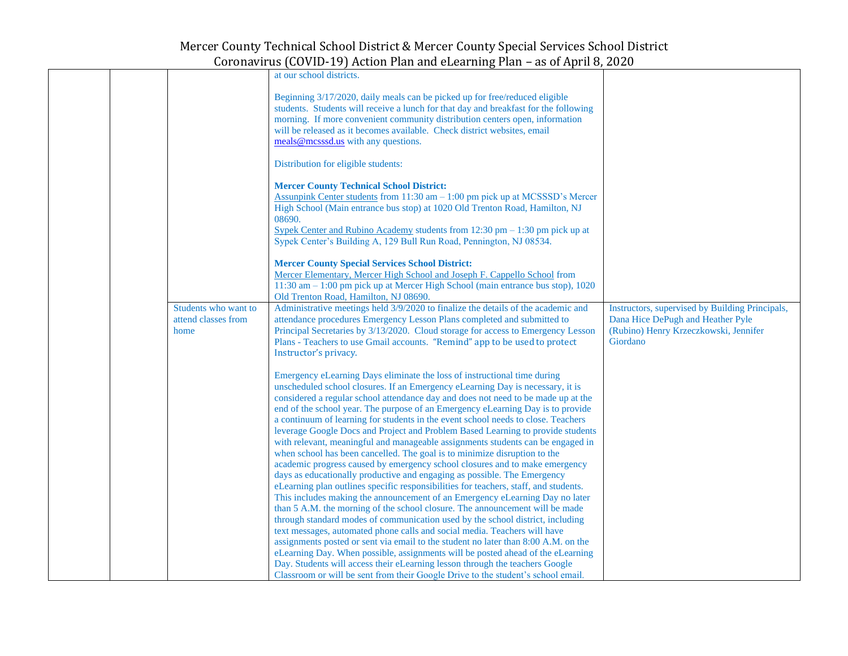|  |                                                     | at our school districts.                                                                                                                                                                                                                                                                                                                                                                                                                                                                                                                                                                                                                                                                                                                                                                                                                                                                                                                                                                                                                                                                                                                                                                                                                                     |                                                                                                                                           |
|--|-----------------------------------------------------|--------------------------------------------------------------------------------------------------------------------------------------------------------------------------------------------------------------------------------------------------------------------------------------------------------------------------------------------------------------------------------------------------------------------------------------------------------------------------------------------------------------------------------------------------------------------------------------------------------------------------------------------------------------------------------------------------------------------------------------------------------------------------------------------------------------------------------------------------------------------------------------------------------------------------------------------------------------------------------------------------------------------------------------------------------------------------------------------------------------------------------------------------------------------------------------------------------------------------------------------------------------|-------------------------------------------------------------------------------------------------------------------------------------------|
|  |                                                     | Beginning 3/17/2020, daily meals can be picked up for free/reduced eligible<br>students. Students will receive a lunch for that day and breakfast for the following<br>morning. If more convenient community distribution centers open, information<br>will be released as it becomes available. Check district websites, email<br>meals@mcsssd.us with any questions.                                                                                                                                                                                                                                                                                                                                                                                                                                                                                                                                                                                                                                                                                                                                                                                                                                                                                       |                                                                                                                                           |
|  |                                                     | Distribution for eligible students:                                                                                                                                                                                                                                                                                                                                                                                                                                                                                                                                                                                                                                                                                                                                                                                                                                                                                                                                                                                                                                                                                                                                                                                                                          |                                                                                                                                           |
|  |                                                     | <b>Mercer County Technical School District:</b><br>Assunpink Center students from 11:30 am - 1:00 pm pick up at MCSSSD's Mercer<br>High School (Main entrance bus stop) at 1020 Old Trenton Road, Hamilton, NJ<br>08690.<br>Sypek Center and Rubino Academy students from $12:30$ pm $-1:30$ pm pick up at<br>Sypek Center's Building A, 129 Bull Run Road, Pennington, NJ 08534.                                                                                                                                                                                                                                                                                                                                                                                                                                                                                                                                                                                                                                                                                                                                                                                                                                                                            |                                                                                                                                           |
|  |                                                     | <b>Mercer County Special Services School District:</b><br>Mercer Elementary, Mercer High School and Joseph F. Cappello School from<br>11:30 am - 1:00 pm pick up at Mercer High School (main entrance bus stop), 1020<br>Old Trenton Road, Hamilton, NJ 08690.                                                                                                                                                                                                                                                                                                                                                                                                                                                                                                                                                                                                                                                                                                                                                                                                                                                                                                                                                                                               |                                                                                                                                           |
|  | Students who want to<br>attend classes from<br>home | Administrative meetings held 3/9/2020 to finalize the details of the academic and<br>attendance procedures Emergency Lesson Plans completed and submitted to<br>Principal Secretaries by 3/13/2020. Cloud storage for access to Emergency Lesson<br>Plans - Teachers to use Gmail accounts. "Remind" app to be used to protect<br>Instructor's privacy.                                                                                                                                                                                                                                                                                                                                                                                                                                                                                                                                                                                                                                                                                                                                                                                                                                                                                                      | Instructors, supervised by Building Principals,<br>Dana Hice DePugh and Heather Pyle<br>(Rubino) Henry Krzeczkowski, Jennifer<br>Giordano |
|  |                                                     | Emergency eLearning Days eliminate the loss of instructional time during<br>unscheduled school closures. If an Emergency eLearning Day is necessary, it is<br>considered a regular school attendance day and does not need to be made up at the<br>end of the school year. The purpose of an Emergency eLearning Day is to provide<br>a continuum of learning for students in the event school needs to close. Teachers<br>leverage Google Docs and Project and Problem Based Learning to provide students<br>with relevant, meaningful and manageable assignments students can be engaged in<br>when school has been cancelled. The goal is to minimize disruption to the<br>academic progress caused by emergency school closures and to make emergency<br>days as educationally productive and engaging as possible. The Emergency<br>eLearning plan outlines specific responsibilities for teachers, staff, and students.<br>This includes making the announcement of an Emergency eLearning Day no later<br>than 5 A.M. the morning of the school closure. The announcement will be made<br>through standard modes of communication used by the school district, including<br>text messages, automated phone calls and social media. Teachers will have |                                                                                                                                           |
|  |                                                     | assignments posted or sent via email to the student no later than 8:00 A.M. on the<br>eLearning Day. When possible, assignments will be posted ahead of the eLearning<br>Day. Students will access their eLearning lesson through the teachers Google<br>Classroom or will be sent from their Google Drive to the student's school email.                                                                                                                                                                                                                                                                                                                                                                                                                                                                                                                                                                                                                                                                                                                                                                                                                                                                                                                    |                                                                                                                                           |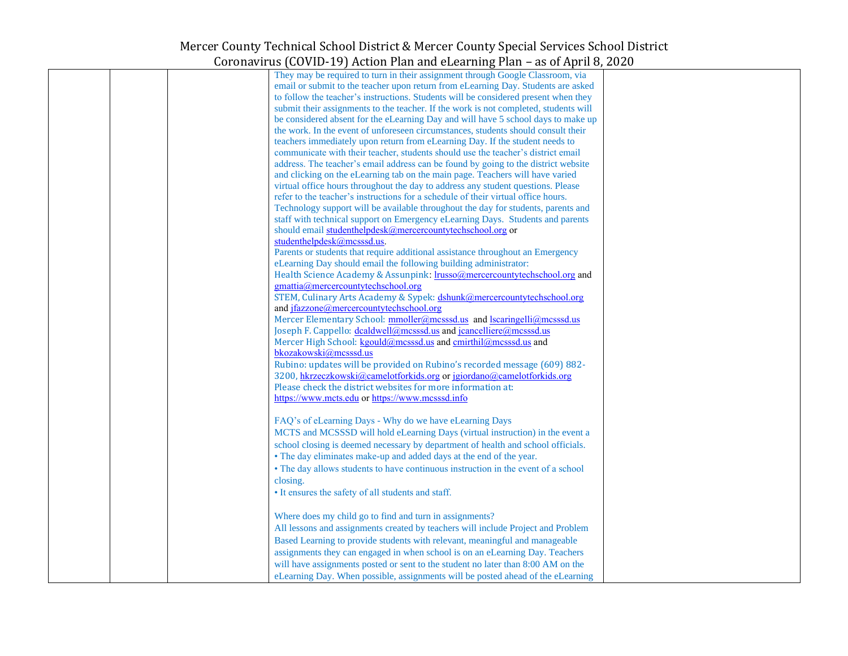| They may be required to turn in their assignment through Google Classroom, via       |  |
|--------------------------------------------------------------------------------------|--|
| email or submit to the teacher upon return from eLearning Day. Students are asked    |  |
| to follow the teacher's instructions. Students will be considered present when they  |  |
|                                                                                      |  |
| submit their assignments to the teacher. If the work is not completed, students will |  |
| be considered absent for the eLearning Day and will have 5 school days to make up    |  |
| the work. In the event of unforeseen circumstances, students should consult their    |  |
| teachers immediately upon return from eLearning Day. If the student needs to         |  |
|                                                                                      |  |
| communicate with their teacher, students should use the teacher's district email     |  |
| address. The teacher's email address can be found by going to the district website   |  |
| and clicking on the eLearning tab on the main page. Teachers will have varied        |  |
| virtual office hours throughout the day to address any student questions. Please     |  |
| refer to the teacher's instructions for a schedule of their virtual office hours.    |  |
|                                                                                      |  |
| Technology support will be available throughout the day for students, parents and    |  |
| staff with technical support on Emergency eLearning Days. Students and parents       |  |
| should email studenthelpdesk@mercercountytechschool.org or                           |  |
| studenthelpdesk@mcsssd.us.                                                           |  |
| Parents or students that require additional assistance throughout an Emergency       |  |
|                                                                                      |  |
| eLearning Day should email the following building administrator:                     |  |
| Health Science Academy & Assunpink: lrusso@mercercountytechschool.org and            |  |
| gmattia@mercercountytechschool.org                                                   |  |
| STEM, Culinary Arts Academy & Sypek: dshunk@mercercountytechschool.org               |  |
| and jfazzone@mercercountytechschool.org                                              |  |
|                                                                                      |  |
| Mercer Elementary School: mmoller@mcsssd.us and lscaringelli@mcsssd.us               |  |
| Joseph F. Cappello: dcaldwell@mcsssd.us and jcancelliere@mcsssd.us                   |  |
| Mercer High School: kgould@mcsssd.us and cmirthil@mcsssd.us and                      |  |
| bkozakowski@mcsssd.us                                                                |  |
|                                                                                      |  |
| Rubino: updates will be provided on Rubino's recorded message (609) 882-             |  |
| 3200, hkrzeczkowski@camelotforkids.org or jgiordano@camelotforkids.org               |  |
| Please check the district websites for more information at:                          |  |
| https://www.mcts.edu or https://www.mcsssd.info                                      |  |
|                                                                                      |  |
|                                                                                      |  |
| FAQ's of eLearning Days - Why do we have eLearning Days                              |  |
| MCTS and MCSSSD will hold eLearning Days (virtual instruction) in the event a        |  |
| school closing is deemed necessary by department of health and school officials.     |  |
| • The day eliminates make-up and added days at the end of the year.                  |  |
|                                                                                      |  |
| • The day allows students to have continuous instruction in the event of a school    |  |
| closing.                                                                             |  |
| • It ensures the safety of all students and staff.                                   |  |
|                                                                                      |  |
|                                                                                      |  |
| Where does my child go to find and turn in assignments?                              |  |
| All lessons and assignments created by teachers will include Project and Problem     |  |
| Based Learning to provide students with relevant, meaningful and manageable          |  |
|                                                                                      |  |
| assignments they can engaged in when school is on an eLearning Day. Teachers         |  |
| will have assignments posted or sent to the student no later than 8:00 AM on the     |  |
| eLearning Day. When possible, assignments will be posted ahead of the eLearning      |  |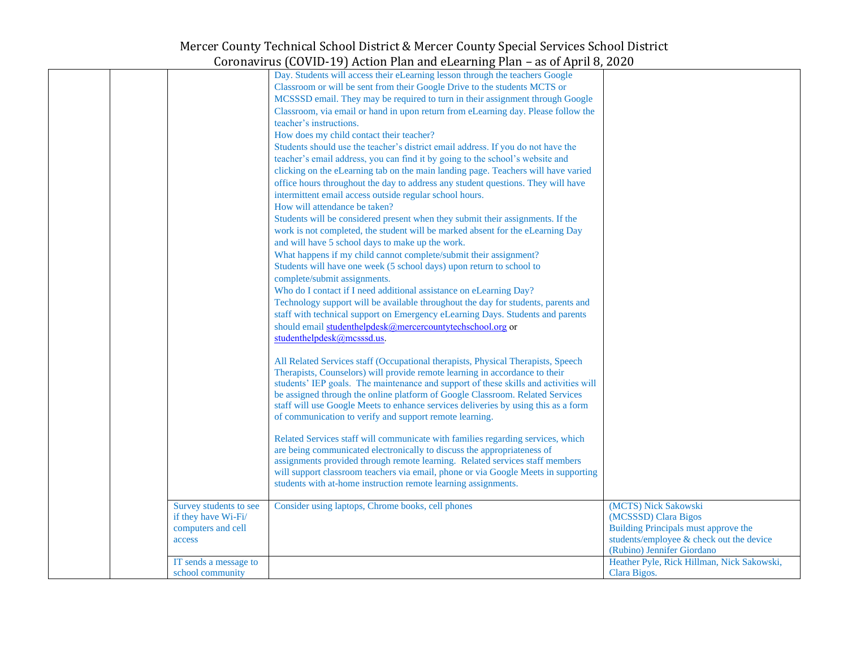|  |                                               | 00 (00 ) 12 = 2 ) 11001011 1 1011 01110 020011 1111 p 1 1011 - 000 01 11 p 1 11 0 ) = 0 = 0 |                                              |
|--|-----------------------------------------------|---------------------------------------------------------------------------------------------|----------------------------------------------|
|  |                                               | Day. Students will access their eLearning lesson through the teachers Google                |                                              |
|  |                                               | Classroom or will be sent from their Google Drive to the students MCTS or                   |                                              |
|  |                                               | MCSSSD email. They may be required to turn in their assignment through Google               |                                              |
|  |                                               | Classroom, via email or hand in upon return from eLearning day. Please follow the           |                                              |
|  |                                               | teacher's instructions.                                                                     |                                              |
|  |                                               | How does my child contact their teacher?                                                    |                                              |
|  |                                               | Students should use the teacher's district email address. If you do not have the            |                                              |
|  |                                               | teacher's email address, you can find it by going to the school's website and               |                                              |
|  |                                               | clicking on the eLearning tab on the main landing page. Teachers will have varied           |                                              |
|  |                                               | office hours throughout the day to address any student questions. They will have            |                                              |
|  |                                               | intermittent email access outside regular school hours.                                     |                                              |
|  |                                               | How will attendance be taken?                                                               |                                              |
|  |                                               | Students will be considered present when they submit their assignments. If the              |                                              |
|  |                                               | work is not completed, the student will be marked absent for the eLearning Day              |                                              |
|  |                                               | and will have 5 school days to make up the work.                                            |                                              |
|  |                                               | What happens if my child cannot complete/submit their assignment?                           |                                              |
|  |                                               | Students will have one week (5 school days) upon return to school to                        |                                              |
|  |                                               | complete/submit assignments.                                                                |                                              |
|  |                                               | Who do I contact if I need additional assistance on eLearning Day?                          |                                              |
|  |                                               | Technology support will be available throughout the day for students, parents and           |                                              |
|  |                                               | staff with technical support on Emergency eLearning Days. Students and parents              |                                              |
|  |                                               | should email studenthelpdesk@mercercountytechschool.org or                                  |                                              |
|  |                                               | studenthelpdesk@mcsssd.us.                                                                  |                                              |
|  |                                               |                                                                                             |                                              |
|  |                                               | All Related Services staff (Occupational therapists, Physical Therapists, Speech            |                                              |
|  |                                               | Therapists, Counselors) will provide remote learning in accordance to their                 |                                              |
|  |                                               | students' IEP goals. The maintenance and support of these skills and activities will        |                                              |
|  |                                               | be assigned through the online platform of Google Classroom. Related Services               |                                              |
|  |                                               | staff will use Google Meets to enhance services deliveries by using this as a form          |                                              |
|  |                                               | of communication to verify and support remote learning.                                     |                                              |
|  |                                               |                                                                                             |                                              |
|  |                                               | Related Services staff will communicate with families regarding services, which             |                                              |
|  |                                               | are being communicated electronically to discuss the appropriateness of                     |                                              |
|  |                                               | assignments provided through remote learning. Related services staff members                |                                              |
|  |                                               | will support classroom teachers via email, phone or via Google Meets in supporting          |                                              |
|  |                                               | students with at-home instruction remote learning assignments.                              |                                              |
|  |                                               |                                                                                             |                                              |
|  | Survey students to see<br>if they have Wi-Fi/ | Consider using laptops, Chrome books, cell phones                                           | (MCTS) Nick Sakowski<br>(MCSSSD) Clara Bigos |
|  | computers and cell                            |                                                                                             | Building Principals must approve the         |
|  | access                                        |                                                                                             | students/employee & check out the device     |
|  |                                               |                                                                                             | (Rubino) Jennifer Giordano                   |
|  | IT sends a message to                         |                                                                                             | Heather Pyle, Rick Hillman, Nick Sakowski,   |
|  | school community                              |                                                                                             | Clara Bigos.                                 |
|  |                                               |                                                                                             |                                              |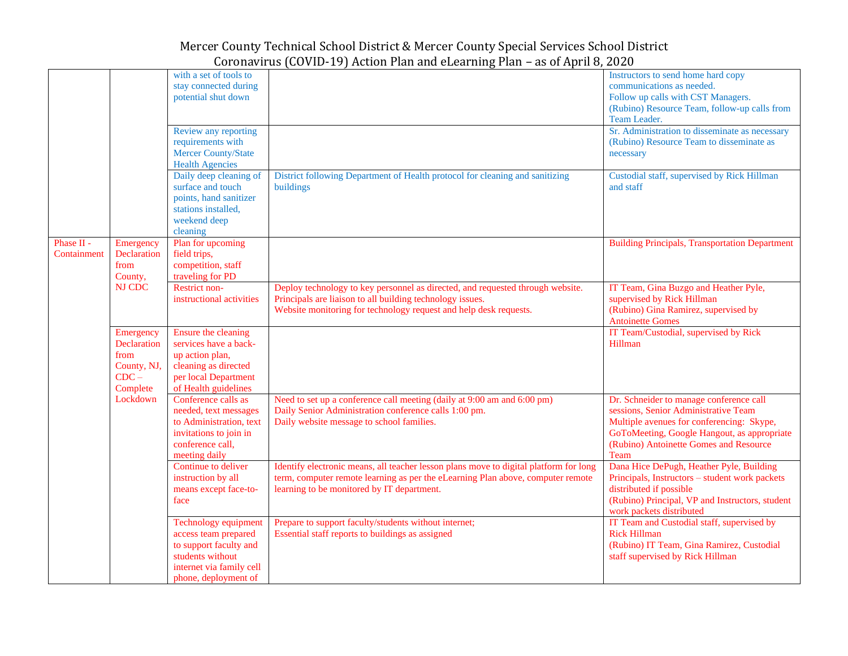|                           |                                                                        | with a set of tools to<br>stay connected during<br>potential shut down<br>Review any reporting<br>requirements with<br>Mercer County/State<br><b>Health Agencies</b><br>Daily deep cleaning of<br>surface and touch<br>points, hand sanitizer<br>stations installed, | District following Department of Health protocol for cleaning and sanitizing<br>buildings                                                                                                                              | Instructors to send home hard copy<br>communications as needed.<br>Follow up calls with CST Managers.<br>(Rubino) Resource Team, follow-up calls from<br>Team Leader.<br>Sr. Administration to disseminate as necessary<br>(Rubino) Resource Team to disseminate as<br>necessary<br>Custodial staff, supervised by Rick Hillman<br>and staff |
|---------------------------|------------------------------------------------------------------------|----------------------------------------------------------------------------------------------------------------------------------------------------------------------------------------------------------------------------------------------------------------------|------------------------------------------------------------------------------------------------------------------------------------------------------------------------------------------------------------------------|----------------------------------------------------------------------------------------------------------------------------------------------------------------------------------------------------------------------------------------------------------------------------------------------------------------------------------------------|
|                           |                                                                        | weekend deep<br>cleaning                                                                                                                                                                                                                                             |                                                                                                                                                                                                                        |                                                                                                                                                                                                                                                                                                                                              |
| Phase II -<br>Containment | Emergency<br>Declaration<br>from<br>County,                            | Plan for upcoming<br>field trips,<br>competition, staff<br>traveling for PD                                                                                                                                                                                          |                                                                                                                                                                                                                        | <b>Building Principals, Transportation Department</b>                                                                                                                                                                                                                                                                                        |
|                           | NJ CDC                                                                 | Restrict non-<br>instructional activities                                                                                                                                                                                                                            | Deploy technology to key personnel as directed, and requested through website.<br>Principals are liaison to all building technology issues.<br>Website monitoring for technology request and help desk requests.       | IT Team, Gina Buzgo and Heather Pyle,<br>supervised by Rick Hillman<br>(Rubino) Gina Ramirez, supervised by<br><b>Antoinette Gomes</b>                                                                                                                                                                                                       |
|                           | Emergency<br>Declaration<br>from<br>County, NJ,<br>$CDC -$<br>Complete | Ensure the cleaning<br>services have a back-<br>up action plan,<br>cleaning as directed<br>per local Department<br>of Health guidelines                                                                                                                              |                                                                                                                                                                                                                        | IT Team/Custodial, supervised by Rick<br>Hillman                                                                                                                                                                                                                                                                                             |
|                           | Lockdown                                                               | Conference calls as<br>needed, text messages<br>to Administration, text<br>invitations to join in<br>conference call,<br>meeting daily                                                                                                                               | Need to set up a conference call meeting (daily at 9:00 am and 6:00 pm)<br>Daily Senior Administration conference calls 1:00 pm.<br>Daily website message to school families.                                          | Dr. Schneider to manage conference call<br>sessions, Senior Administrative Team<br>Multiple avenues for conferencing: Skype,<br>GoToMeeting, Google Hangout, as appropriate<br>(Rubino) Antoinette Gomes and Resource<br>Team                                                                                                                |
|                           |                                                                        | Continue to deliver<br>instruction by all<br>means except face-to-<br>face                                                                                                                                                                                           | Identify electronic means, all teacher lesson plans move to digital platform for long<br>term, computer remote learning as per the eLearning Plan above, computer remote<br>learning to be monitored by IT department. | Dana Hice DePugh, Heather Pyle, Building<br>Principals, Instructors - student work packets<br>distributed if possible<br>(Rubino) Principal, VP and Instructors, student<br>work packets distributed                                                                                                                                         |
|                           |                                                                        | <b>Technology equipment</b><br>access team prepared<br>to support faculty and<br>students without<br>internet via family cell<br>phone, deployment of                                                                                                                | Prepare to support faculty/students without internet;<br>Essential staff reports to buildings as assigned                                                                                                              | IT Team and Custodial staff, supervised by<br><b>Rick Hillman</b><br>(Rubino) IT Team, Gina Ramirez, Custodial<br>staff supervised by Rick Hillman                                                                                                                                                                                           |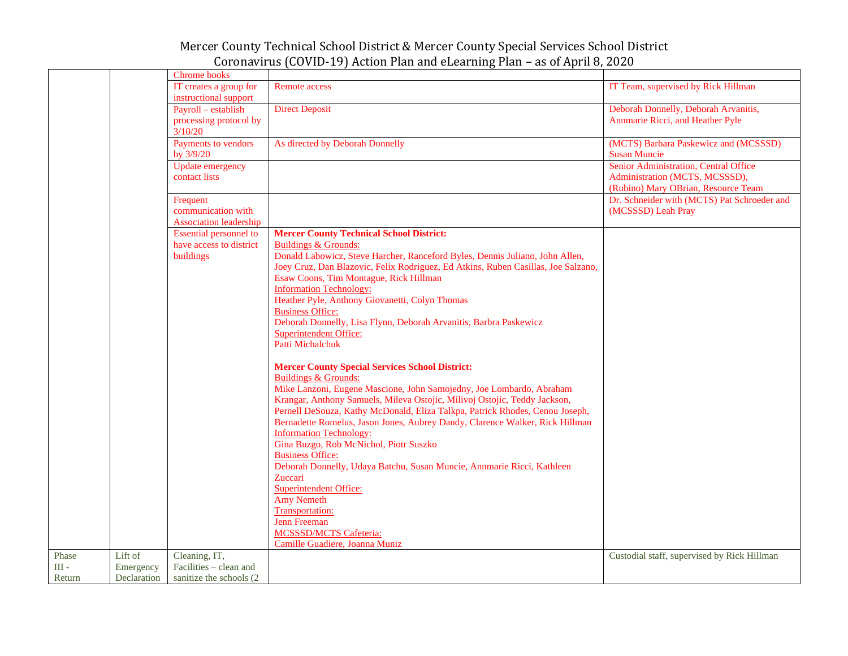|         |             | Chrome books                                                    |                                                                                                                             |                                                                                                                |
|---------|-------------|-----------------------------------------------------------------|-----------------------------------------------------------------------------------------------------------------------------|----------------------------------------------------------------------------------------------------------------|
|         |             | IT creates a group for                                          | <b>Remote access</b>                                                                                                        | IT Team, supervised by Rick Hillman                                                                            |
|         |             | instructional support                                           |                                                                                                                             |                                                                                                                |
|         |             | Payroll - establish                                             | <b>Direct Deposit</b>                                                                                                       | Deborah Donnelly, Deborah Arvanitis,                                                                           |
|         |             | processing protocol by<br>3/10/20                               |                                                                                                                             | Annmarie Ricci, and Heather Pyle                                                                               |
|         |             | Payments to vendors<br>by 3/9/20                                | As directed by Deborah Donnelly                                                                                             | (MCTS) Barbara Paskewicz and (MCSSSD)<br><b>Susan Muncie</b>                                                   |
|         |             | <b>Update emergency</b><br>contact lists                        |                                                                                                                             | Senior Administration, Central Office<br>Administration (MCTS, MCSSSD),<br>(Rubino) Mary OBrian, Resource Team |
|         |             | Frequent<br>communication with<br><b>Association leadership</b> |                                                                                                                             | Dr. Schneider with (MCTS) Pat Schroeder and<br>(MCSSSD) Leah Pray                                              |
|         |             | <b>Essential personnel to</b>                                   | <b>Mercer County Technical School District:</b>                                                                             |                                                                                                                |
|         |             | have access to district                                         | <b>Buildings &amp; Grounds:</b>                                                                                             |                                                                                                                |
|         |             | buildings                                                       | Donald Labowicz, Steve Harcher, Ranceford Byles, Dennis Juliano, John Allen,                                                |                                                                                                                |
|         |             |                                                                 | Joey Cruz, Dan Blazovic, Felix Rodriguez, Ed Atkins, Ruben Casillas, Joe Salzano,<br>Esaw Coons, Tim Montague, Rick Hillman |                                                                                                                |
|         |             |                                                                 | <b>Information Technology:</b>                                                                                              |                                                                                                                |
|         |             |                                                                 | Heather Pyle, Anthony Giovanetti, Colyn Thomas                                                                              |                                                                                                                |
|         |             |                                                                 | <b>Business Office:</b>                                                                                                     |                                                                                                                |
|         |             |                                                                 | Deborah Donnelly, Lisa Flynn, Deborah Arvanitis, Barbra Paskewicz                                                           |                                                                                                                |
|         |             |                                                                 | <b>Superintendent Office:</b><br>Patti Michalchuk                                                                           |                                                                                                                |
|         |             |                                                                 | <b>Mercer County Special Services School District:</b><br>Buildings & Grounds:                                              |                                                                                                                |
|         |             |                                                                 | Mike Lanzoni, Eugene Mascione, John Samojedny, Joe Lombardo, Abraham                                                        |                                                                                                                |
|         |             |                                                                 | Krangar, Anthony Samuels, Mileva Ostojic, Milivoj Ostojic, Teddy Jackson,                                                   |                                                                                                                |
|         |             |                                                                 | Pernell DeSouza, Kathy McDonald, Eliza Talkpa, Patrick Rhodes, Cenou Joseph,                                                |                                                                                                                |
|         |             |                                                                 | Bernadette Romelus, Jason Jones, Aubrey Dandy, Clarence Walker, Rick Hillman                                                |                                                                                                                |
|         |             |                                                                 | <b>Information Technology:</b>                                                                                              |                                                                                                                |
|         |             |                                                                 | Gina Buzgo, Rob McNichol, Piotr Suszko                                                                                      |                                                                                                                |
|         |             |                                                                 | <b>Business Office:</b>                                                                                                     |                                                                                                                |
|         |             |                                                                 | Deborah Donnelly, Udaya Batchu, Susan Muncie, Annmarie Ricci, Kathleen<br>Zuccari                                           |                                                                                                                |
|         |             |                                                                 | <b>Superintendent Office:</b>                                                                                               |                                                                                                                |
|         |             |                                                                 | <b>Amy Nemeth</b>                                                                                                           |                                                                                                                |
|         |             |                                                                 | Transportation:                                                                                                             |                                                                                                                |
|         |             |                                                                 | Jenn Freeman                                                                                                                |                                                                                                                |
|         |             |                                                                 | <b>MCSSSD/MCTS Cafeteria:</b>                                                                                               |                                                                                                                |
|         |             |                                                                 | Camille Guadiere, Joanna Muniz                                                                                              |                                                                                                                |
| Phase   | Lift of     | Cleaning, IT,                                                   |                                                                                                                             | Custodial staff, supervised by Rick Hillman                                                                    |
| $III -$ | Emergency   | Facilities - clean and                                          |                                                                                                                             |                                                                                                                |
| Return  | Declaration | sanitize the schools (2)                                        |                                                                                                                             |                                                                                                                |